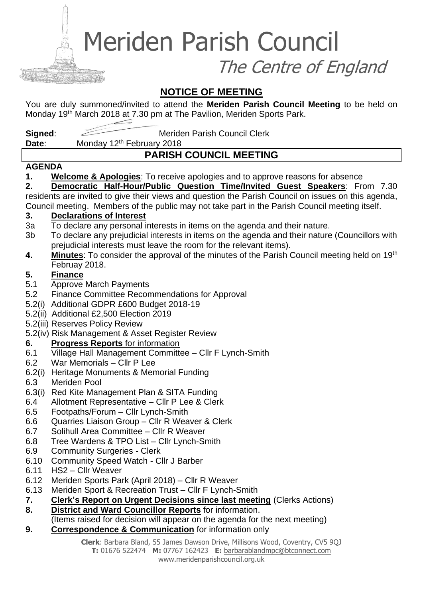Meriden Parish Council

The Centre of England

## **NOTICE OF MEETING**

You are duly summoned/invited to attend the **Meriden Parish Council Meeting** to be held on Monday 19<sup>th</sup> March 2018 at 7.30 pm at The Pavilion, Meriden Sports Park.

**Signed:** Meriden Parish Council Clerk

Date: Monday 12<sup>th</sup> February 2018

# **PARISH COUNCIL MEETING**

### **AGENDA**

**1. Welcome & Apologies**: To receive apologies and to approve reasons for absence

**2. Democratic Half-Hour/Public Question Time/Invited Guest Speakers**: From 7.30 residents are invited to give their views and question the Parish Council on issues on this agenda, Council meeting. Members of the public may not take part in the Parish Council meeting itself.

### **3. Declarations of Interest**

- 3a To declare any personal interests in items on the agenda and their nature.
- 3b To declare any prejudicial interests in items on the agenda and their nature (Councillors with prejudicial interests must leave the room for the relevant items).
- **4. Minutes**: To consider the approval of the minutes of the Parish Council meeting held on 19th Februay 2018.

## **5. Finance**

- 5.1 Approve March Payments
- 5.2 Finance Committee Recommendations for Approval
- 5.2(i) Additional GDPR £600 Budget 2018-19
- 5.2(ii) Additional £2,500 Election 2019
- 5.2(iii) Reserves Policy Review
- 5.2(iv) Risk Management & Asset Register Review
- **6. Progress Reports** for information
- 6.1 Village Hall Management Committee Cllr F Lynch-Smith
- 6.2 War Memorials Cllr P Lee
- 6.2(i) Heritage Monuments & Memorial Funding
- 6.3 Meriden Pool
- 6.3(i) Red Kite Management Plan & SITA Funding
- 6.4 Allotment Representative Cllr P Lee & Clerk
- 6.5 Footpaths/Forum Cllr Lynch-Smith
- 6.6 Quarries Liaison Group Cllr R Weaver & Clerk
- 6.7 Solihull Area Committee Cllr R Weaver
- 6.8 Tree Wardens & TPO List Cllr Lynch-Smith
- 6.9 Community Surgeries Clerk
- 6.10 Community Speed Watch Cllr J Barber
- 6.11 HS2 Cllr Weaver
- 6.12 Meriden Sports Park (April 2018) Cllr R Weaver
- 6.13 Meriden Sport & Recreation Trust Cllr F Lynch-Smith
- **7. Clerk's Report on Urgent Decisions since last meeting** (Clerks Actions)
- **8. District and Ward Councillor Reports** for information.

(Items raised for decision will appear on the agenda for the next meeting)

**9. Correspondence & Communication** for information only